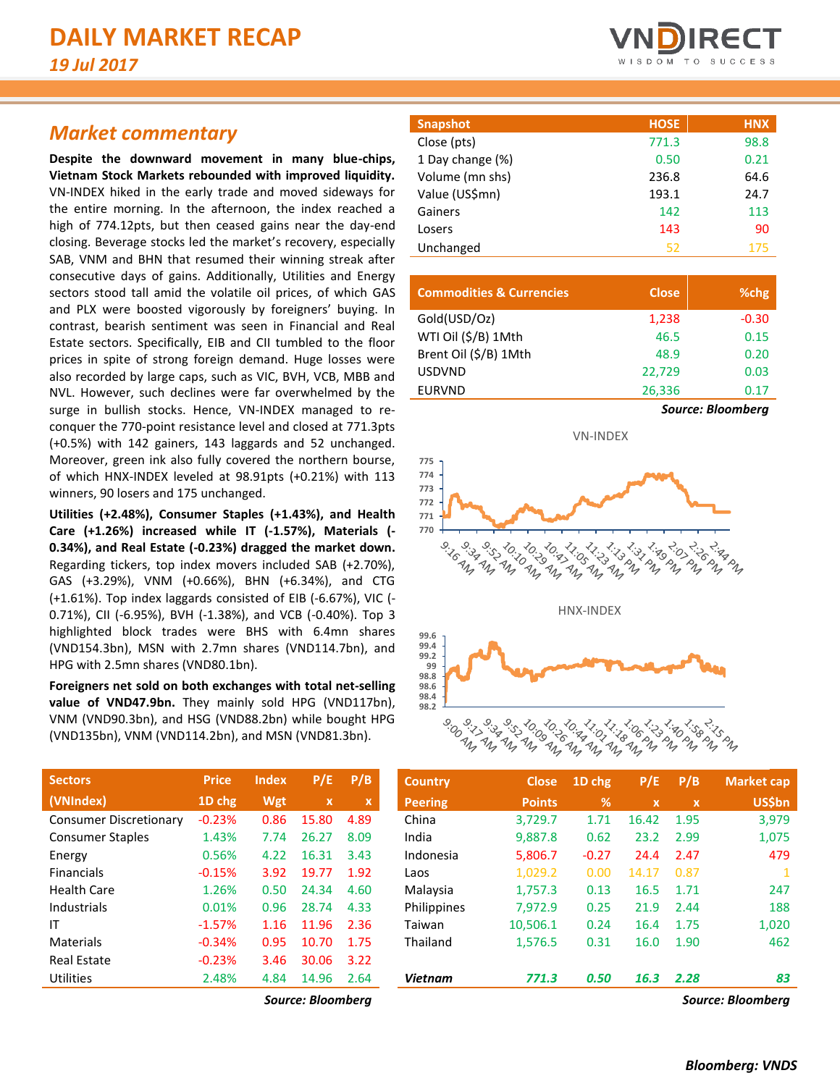## *Market commentary*

**Despite the downward movement in many blue-chips, Vietnam Stock Markets rebounded with improved liquidity.**  VN-INDEX hiked in the early trade and moved sideways for the entire morning. In the afternoon, the index reached a high of 774.12pts, but then ceased gains near the day-end closing. Beverage stocks led the market's recovery, especially SAB, VNM and BHN that resumed their winning streak after consecutive days of gains. Additionally, Utilities and Energy sectors stood tall amid the volatile oil prices, of which GAS and PLX were boosted vigorously by foreigners' buying. In contrast, bearish sentiment was seen in Financial and Real Estate sectors. Specifically, EIB and CII tumbled to the floor prices in spite of strong foreign demand. Huge losses were also recorded by large caps, such as VIC, BVH, VCB, MBB and NVL. However, such declines were far overwhelmed by the surge in bullish stocks. Hence, VN-INDEX managed to reconquer the 770-point resistance level and closed at 771.3pts (+0.5%) with 142 gainers, 143 laggards and 52 unchanged. Moreover, green ink also fully covered the northern bourse, of which HNX-INDEX leveled at 98.91pts (+0.21%) with 113 winners, 90 losers and 175 unchanged.

**Utilities (+2.48%), Consumer Staples (+1.43%), and Health Care (+1.26%) increased while IT (-1.57%), Materials (- 0.34%), and Real Estate (-0.23%) dragged the market down.** Regarding tickers, top index movers included SAB (+2.70%), GAS (+3.29%), VNM (+0.66%), BHN (+6.34%), and CTG (+1.61%). Top index laggards consisted of EIB (-6.67%), VIC (- 0.71%), CII (-6.95%), BVH (-1.38%), and VCB (-0.40%). Top 3 highlighted block trades were BHS with 6.4mn shares (VND154.3bn), MSN with 2.7mn shares (VND114.7bn), and HPG with 2.5mn shares (VND80.1bn).

**Foreigners net sold on both exchanges with total net-selling**  value of VND47.9bn. They mainly sold HPG (VND117bn), VNM (VND90.3bn), and HSG (VND88.2bn) while bought HPG (VND135bn), VNM (VND114.2bn), and MSN (VND81.3bn).

| <b>Price</b> | <b>Index</b> | P/E   | P/B  |
|--------------|--------------|-------|------|
| 1D chg       | Wgt          | x     | x    |
| $-0.23%$     | 0.86         | 15.80 | 4.89 |
| 1.43%        | 7.74         | 26.27 | 8.09 |
| 0.56%        | 4.22         | 16.31 | 3.43 |
| $-0.15%$     | 3.92         | 19.77 | 1.92 |
| 1.26%        | 0.50         | 24.34 | 4.60 |
| 0.01%        | 0.96         | 28.74 | 4.33 |
| $-1.57%$     | 1.16         | 11.96 | 2.36 |
| $-0.34%$     | 0.95         | 10.70 | 1.75 |
| $-0.23%$     | 3.46         | 30.06 | 3.22 |
| 2.48%        | 4.84         | 14.96 | 2.64 |
|              |              |       |      |



| Snapshot         | <b>HOSE</b> | <b>HNX</b> |
|------------------|-------------|------------|
| Close (pts)      | 771.3       | 98.8       |
| 1 Day change (%) | 0.50        | 0.21       |
| Volume (mn shs)  | 236.8       | 64.6       |
| Value (US\$mn)   | 193.1       | 24.7       |
| Gainers          | 142         | 113        |
| Losers           | 143         | 90         |
| Unchanged        | 52          | 175        |

| <b>Commodities &amp; Currencies</b> | <b>Close</b> | %chg                     |
|-------------------------------------|--------------|--------------------------|
| Gold(USD/Oz)                        | 1,238        | $-0.30$                  |
| WTI Oil (\$/B) 1Mth                 | 46.5         | 0.15                     |
| Brent Oil (\$/B) 1Mth               | 48.9         | 0.20                     |
| <b>USDVND</b>                       | 22.729       | 0.03                     |
| <b>EURVND</b>                       | 26,336       | 0.17                     |
|                                     |              | <b>Source: Bloomberg</b> |

VN-INDEX





| <b>Sectors</b>                | <b>Price</b> | <b>Index</b> | P/E          | P/B              | <b>Country</b> | <b>Close</b>  | 1D chg     | P/E         | P/B  | <b>Market cap</b> |
|-------------------------------|--------------|--------------|--------------|------------------|----------------|---------------|------------|-------------|------|-------------------|
| (VNIndex)                     | 1D chg       | Wgt          | $\mathbf{x}$ | $\boldsymbol{x}$ | <b>Peering</b> | <b>Points</b> | $\sqrt{2}$ | $\mathbf x$ | ΩY.  | <b>US\$bn</b>     |
| <b>Consumer Discretionary</b> | $-0.23%$     | 0.86         | 15.80        | 4.89             | China          | 3,729.7       | 1.71       | 16.42       | 1.95 | 3,979             |
| <b>Consumer Staples</b>       | 1.43%        | 7.74         | 26.27        | 8.09             | India          | 9.887.8       | 0.62       | 23.2        | 2.99 | 1,075             |
| Energy                        | 0.56%        | 4.22         | 16.31        | 3.43             | Indonesia      | 5,806.7       | $-0.27$    | 24.4        | 2.47 | 479               |
| <b>Financials</b>             | $-0.15%$     | 3.92         | 19.77        | 1.92             | Laos           | 1,029.2       | 0.00       | 14.17       | 0.87 |                   |
| Health Care                   | 1.26%        | 0.50         | 24.34        | 4.60             | Malaysia       | 1.757.3       | 0.13       | 16.5        | 1.71 | 247               |
| Industrials                   | 0.01%        | 0.96         | 28.74        | 4.33             | Philippines    | 7.972.9       | 0.25       | 21.9        | 2.44 | 188               |
| ΙT                            | $-1.57%$     | 1.16         | 11.96        | 2.36             | Taiwan         | 10,506.1      | 0.24       | 16.4        | 1.75 | 1,020             |
| Materials                     | $-0.34%$     | 0.95         | 10.70        | 1.75             | Thailand       | 1,576.5       | 0.31       | 16.0        | 1.90 | 462               |
| <b>Real Estate</b>            | $-0.23%$     | 3.46         | 30.06        | 3.22             |                |               |            |             |      |                   |
| Utilities                     | 2.48%        | 4.84         | 14.96        | 2.64             | <b>Vietnam</b> | 771.3         | 0.50       | 16.3        | 2.28 | 83                |
|                               |              | $\sim$       | $ \cdot$     |                  |                |               |            |             |      |                   |

*Source: Bloomberg Source: Bloomberg*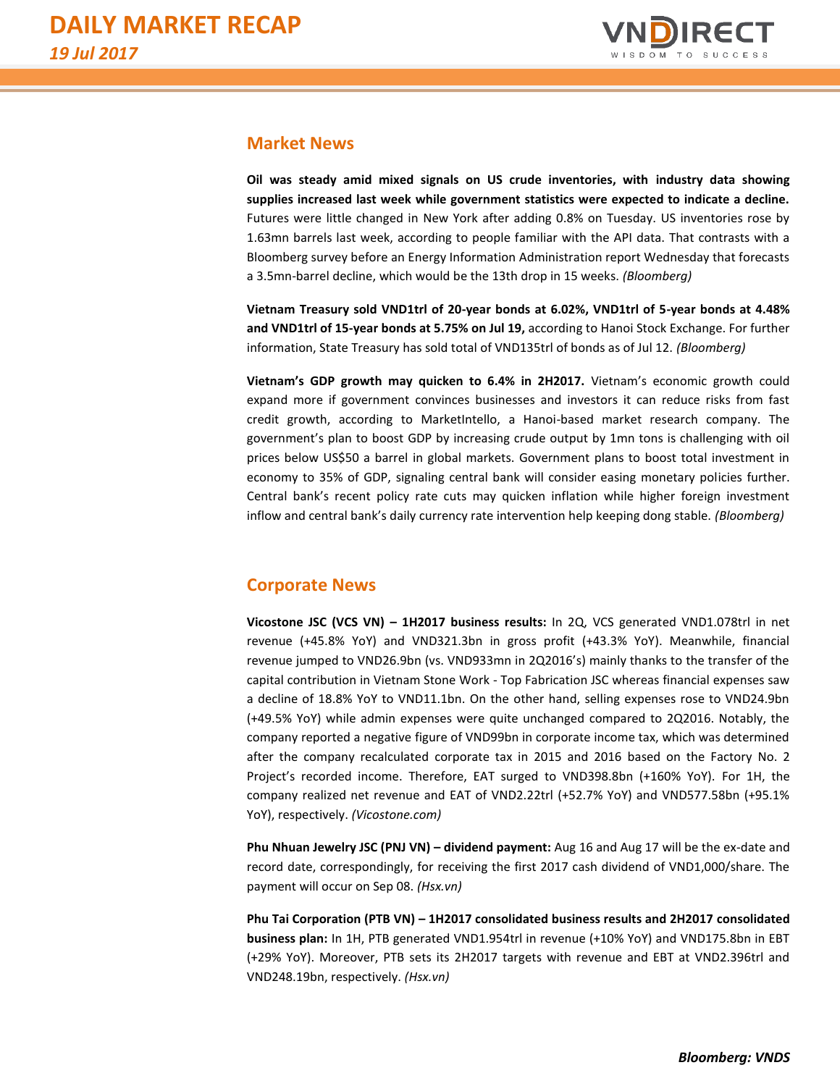

#### **Market News**

**Oil was steady amid mixed signals on US crude inventories, with industry data showing supplies increased last week while government statistics were expected to indicate a decline.** Futures were little changed in New York after adding 0.8% on Tuesday. US inventories rose by 1.63mn barrels last week, according to people familiar with the API data. That contrasts with a Bloomberg survey before an Energy Information Administration report Wednesday that forecasts a 3.5mn-barrel decline, which would be the 13th drop in 15 weeks. *(Bloomberg)*

**Vietnam Treasury sold VND1trl of 20-year bonds at 6.02%, VND1trl of 5-year bonds at 4.48% and VND1trl of 15-year bonds at 5.75% on Jul 19,** according to Hanoi Stock Exchange. For further information, State Treasury has sold total of VND135trl of bonds as of Jul 12. *(Bloomberg)*

**Vietnam's GDP growth may quicken to 6.4% in 2H2017.** Vietnam's economic growth could expand more if government convinces businesses and investors it can reduce risks from fast credit growth, according to MarketIntello, a Hanoi-based market research company. The government's plan to boost GDP by increasing crude output by 1mn tons is challenging with oil prices below US\$50 a barrel in global markets. Government plans to boost total investment in economy to 35% of GDP, signaling central bank will consider easing monetary policies further. Central bank's recent policy rate cuts may quicken inflation while higher foreign investment inflow and central bank's daily currency rate intervention help keeping dong stable. *(Bloomberg)*

### **Corporate News**

**Vicostone JSC (VCS VN) – 1H2017 business results:** In 2Q, VCS generated VND1.078trl in net revenue (+45.8% YoY) and VND321.3bn in gross profit (+43.3% YoY). Meanwhile, financial revenue jumped to VND26.9bn (vs. VND933mn in 2Q2016's) mainly thanks to the transfer of the capital contribution in Vietnam Stone Work - Top Fabrication JSC whereas financial expenses saw a decline of 18.8% YoY to VND11.1bn. On the other hand, selling expenses rose to VND24.9bn (+49.5% YoY) while admin expenses were quite unchanged compared to 2Q2016. Notably, the company reported a negative figure of VND99bn in corporate income tax, which was determined after the company recalculated corporate tax in 2015 and 2016 based on the Factory No. 2 Project's recorded income. Therefore, EAT surged to VND398.8bn (+160% YoY). For 1H, the company realized net revenue and EAT of VND2.22trl (+52.7% YoY) and VND577.58bn (+95.1% YoY), respectively. *(Vicostone.com)*

**Phu Nhuan Jewelry JSC (PNJ VN) – dividend payment:** Aug 16 and Aug 17 will be the ex-date and record date, correspondingly, for receiving the first 2017 cash dividend of VND1,000/share. The payment will occur on Sep 08. *(Hsx.vn)*

**Phu Tai Corporation (PTB VN) – 1H2017 consolidated business results and 2H2017 consolidated business plan:** In 1H, PTB generated VND1.954trl in revenue (+10% YoY) and VND175.8bn in EBT (+29% YoY). Moreover, PTB sets its 2H2017 targets with revenue and EBT at VND2.396trl and VND248.19bn, respectively. *(Hsx.vn)*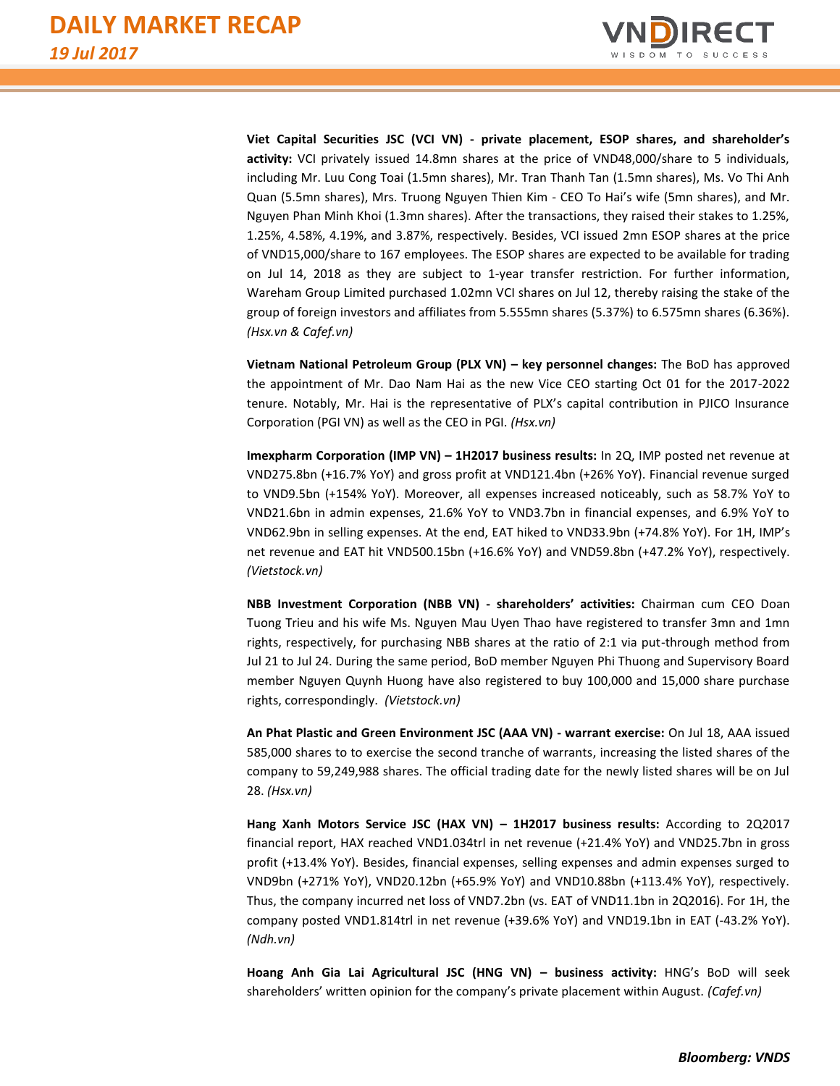

**Viet Capital Securities JSC (VCI VN) - private placement, ESOP shares, and shareholder's activity:** VCI privately issued 14.8mn shares at the price of VND48,000/share to 5 individuals, including Mr. Luu Cong Toai (1.5mn shares), Mr. Tran Thanh Tan (1.5mn shares), Ms. Vo Thi Anh Quan (5.5mn shares), Mrs. Truong Nguyen Thien Kim - CEO To Hai's wife (5mn shares), and Mr. Nguyen Phan Minh Khoi (1.3mn shares). After the transactions, they raised their stakes to 1.25%, 1.25%, 4.58%, 4.19%, and 3.87%, respectively. Besides, VCI issued 2mn ESOP shares at the price of VND15,000/share to 167 employees. The ESOP shares are expected to be available for trading on Jul 14, 2018 as they are subject to 1-year transfer restriction. For further information, Wareham Group Limited purchased 1.02mn VCI shares on Jul 12, thereby raising the stake of the group of foreign investors and affiliates from 5.555mn shares (5.37%) to 6.575mn shares (6.36%). *(Hsx.vn & Cafef.vn)*

**Vietnam National Petroleum Group (PLX VN) – key personnel changes:** The BoD has approved the appointment of Mr. Dao Nam Hai as the new Vice CEO starting Oct 01 for the 2017-2022 tenure. Notably, Mr. Hai is the representative of PLX's capital contribution in PJICO Insurance Corporation (PGI VN) as well as the CEO in PGI. *(Hsx.vn)*

**Imexpharm Corporation (IMP VN) – 1H2017 business results:** In 2Q, IMP posted net revenue at VND275.8bn (+16.7% YoY) and gross profit at VND121.4bn (+26% YoY). Financial revenue surged to VND9.5bn (+154% YoY). Moreover, all expenses increased noticeably, such as 58.7% YoY to VND21.6bn in admin expenses, 21.6% YoY to VND3.7bn in financial expenses, and 6.9% YoY to VND62.9bn in selling expenses. At the end, EAT hiked to VND33.9bn (+74.8% YoY). For 1H, IMP's net revenue and EAT hit VND500.15bn (+16.6% YoY) and VND59.8bn (+47.2% YoY), respectively. *(Vietstock.vn)*

**NBB Investment Corporation (NBB VN) - shareholders' activities:** Chairman cum CEO Doan Tuong Trieu and his wife Ms. Nguyen Mau Uyen Thao have registered to transfer 3mn and 1mn rights, respectively, for purchasing NBB shares at the ratio of 2:1 via put-through method from Jul 21 to Jul 24. During the same period, BoD member Nguyen Phi Thuong and Supervisory Board member Nguyen Quynh Huong have also registered to buy 100,000 and 15,000 share purchase rights, correspondingly. *(Vietstock.vn)*

**An Phat Plastic and Green Environment JSC (AAA VN) - warrant exercise:** On Jul 18, AAA issued 585,000 shares to to exercise the second tranche of warrants, increasing the listed shares of the company to 59,249,988 shares. The official trading date for the newly listed shares will be on Jul 28. *(Hsx.vn)*

**Hang Xanh Motors Service JSC (HAX VN) – 1H2017 business results:** According to 2Q2017 financial report, HAX reached VND1.034trl in net revenue (+21.4% YoY) and VND25.7bn in gross profit (+13.4% YoY). Besides, financial expenses, selling expenses and admin expenses surged to VND9bn (+271% YoY), VND20.12bn (+65.9% YoY) and VND10.88bn (+113.4% YoY), respectively. Thus, the company incurred net loss of VND7.2bn (vs. EAT of VND11.1bn in 2Q2016). For 1H, the company posted VND1.814trl in net revenue (+39.6% YoY) and VND19.1bn in EAT (-43.2% YoY). *(Ndh.vn)*

**Hoang Anh Gia Lai Agricultural JSC (HNG VN) – business activity:** HNG's BoD will seek shareholders' written opinion for the company's private placement within August. *(Cafef.vn)*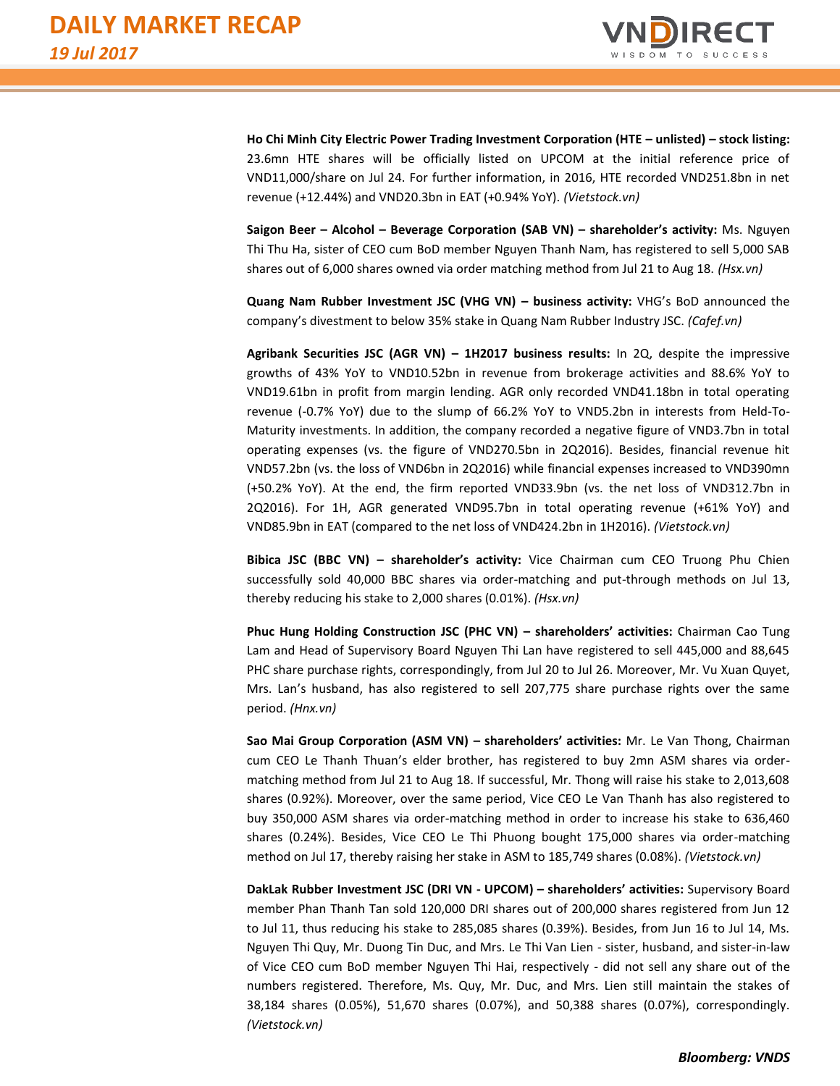

**Ho Chi Minh City Electric Power Trading Investment Corporation (HTE – unlisted) – stock listing:** 23.6mn HTE shares will be officially listed on UPCOM at the initial reference price of VND11,000/share on Jul 24. For further information, in 2016, HTE recorded VND251.8bn in net revenue (+12.44%) and VND20.3bn in EAT (+0.94% YoY). *(Vietstock.vn)*

**Saigon Beer – Alcohol – Beverage Corporation (SAB VN) – shareholder's activity:** Ms. Nguyen Thi Thu Ha, sister of CEO cum BoD member Nguyen Thanh Nam, has registered to sell 5,000 SAB shares out of 6,000 shares owned via order matching method from Jul 21 to Aug 18. *(Hsx.vn)*

**Quang Nam Rubber Investment JSC (VHG VN) – business activity:** VHG's BoD announced the company's divestment to below 35% stake in Quang Nam Rubber Industry JSC. *(Cafef.vn)*

**Agribank Securities JSC (AGR VN) – 1H2017 business results:** In 2Q, despite the impressive growths of 43% YoY to VND10.52bn in revenue from brokerage activities and 88.6% YoY to VND19.61bn in profit from margin lending. AGR only recorded VND41.18bn in total operating revenue (-0.7% YoY) due to the slump of 66.2% YoY to VND5.2bn in interests from Held-To-Maturity investments. In addition, the company recorded a negative figure of VND3.7bn in total operating expenses (vs. the figure of VND270.5bn in 2Q2016). Besides, financial revenue hit VND57.2bn (vs. the loss of VND6bn in 2Q2016) while financial expenses increased to VND390mn (+50.2% YoY). At the end, the firm reported VND33.9bn (vs. the net loss of VND312.7bn in 2Q2016). For 1H, AGR generated VND95.7bn in total operating revenue (+61% YoY) and VND85.9bn in EAT (compared to the net loss of VND424.2bn in 1H2016). *(Vietstock.vn)*

**Bibica JSC (BBC VN) – shareholder's activity:** Vice Chairman cum CEO Truong Phu Chien successfully sold 40,000 BBC shares via order-matching and put-through methods on Jul 13, thereby reducing his stake to 2,000 shares (0.01%). *(Hsx.vn)*

**Phuc Hung Holding Construction JSC (PHC VN) – shareholders' activities:** Chairman Cao Tung Lam and Head of Supervisory Board Nguyen Thi Lan have registered to sell 445,000 and 88,645 PHC share purchase rights, correspondingly, from Jul 20 to Jul 26. Moreover, Mr. Vu Xuan Quyet, Mrs. Lan's husband, has also registered to sell 207,775 share purchase rights over the same period. *(Hnx.vn)*

**Sao Mai Group Corporation (ASM VN) – shareholders' activities:** Mr. Le Van Thong, Chairman cum CEO Le Thanh Thuan's elder brother, has registered to buy 2mn ASM shares via ordermatching method from Jul 21 to Aug 18. If successful, Mr. Thong will raise his stake to 2,013,608 shares (0.92%). Moreover, over the same period, Vice CEO Le Van Thanh has also registered to buy 350,000 ASM shares via order-matching method in order to increase his stake to 636,460 shares (0.24%). Besides, Vice CEO Le Thi Phuong bought 175,000 shares via order-matching method on Jul 17, thereby raising her stake in ASM to 185,749 shares (0.08%). *(Vietstock.vn)*

**DakLak Rubber Investment JSC (DRI VN - UPCOM) – shareholders' activities:** Supervisory Board member Phan Thanh Tan sold 120,000 DRI shares out of 200,000 shares registered from Jun 12 to Jul 11, thus reducing his stake to 285,085 shares (0.39%). Besides, from Jun 16 to Jul 14, Ms. Nguyen Thi Quy, Mr. Duong Tin Duc, and Mrs. Le Thi Van Lien - sister, husband, and sister-in-law of Vice CEO cum BoD member Nguyen Thi Hai, respectively - did not sell any share out of the numbers registered. Therefore, Ms. Quy, Mr. Duc, and Mrs. Lien still maintain the stakes of 38,184 shares (0.05%), 51,670 shares (0.07%), and 50,388 shares (0.07%), correspondingly. *(Vietstock.vn)*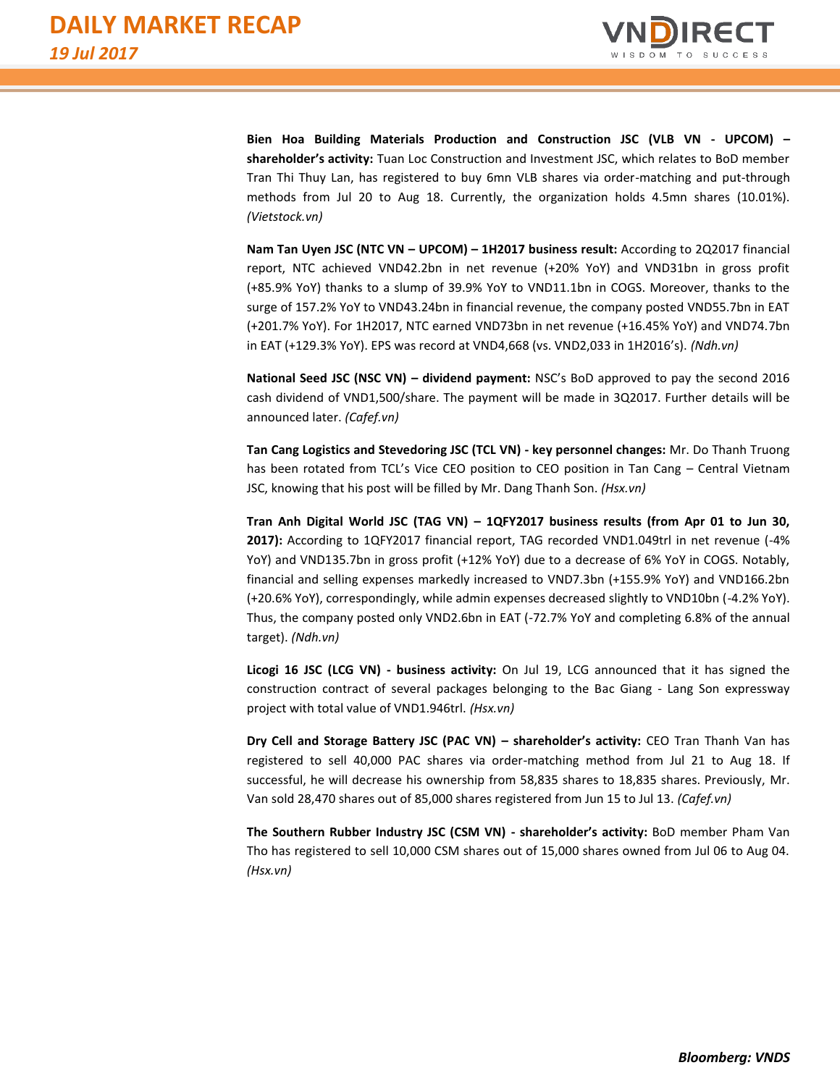

**Bien Hoa Building Materials Production and Construction JSC (VLB VN - UPCOM) – shareholder's activity:** Tuan Loc Construction and Investment JSC, which relates to BoD member Tran Thi Thuy Lan, has registered to buy 6mn VLB shares via order-matching and put-through methods from Jul 20 to Aug 18. Currently, the organization holds 4.5mn shares (10.01%). *(Vietstock.vn)*

**Nam Tan Uyen JSC (NTC VN – UPCOM) – 1H2017 business result:** According to 2Q2017 financial report, NTC achieved VND42.2bn in net revenue (+20% YoY) and VND31bn in gross profit (+85.9% YoY) thanks to a slump of 39.9% YoY to VND11.1bn in COGS. Moreover, thanks to the surge of 157.2% YoY to VND43.24bn in financial revenue, the company posted VND55.7bn in EAT (+201.7% YoY). For 1H2017, NTC earned VND73bn in net revenue (+16.45% YoY) and VND74.7bn in EAT (+129.3% YoY). EPS was record at VND4,668 (vs. VND2,033 in 1H2016's). *(Ndh.vn)*

**National Seed JSC (NSC VN) – dividend payment:** NSC's BoD approved to pay the second 2016 cash dividend of VND1,500/share. The payment will be made in 3Q2017. Further details will be announced later. *(Cafef.vn)*

**Tan Cang Logistics and Stevedoring JSC (TCL VN) - key personnel changes:** Mr. Do Thanh Truong has been rotated from TCL's Vice CEO position to CEO position in Tan Cang - Central Vietnam JSC, knowing that his post will be filled by Mr. Dang Thanh Son. *(Hsx.vn)*

**Tran Anh Digital World JSC (TAG VN) – 1QFY2017 business results (from Apr 01 to Jun 30, 2017):** According to 1QFY2017 financial report, TAG recorded VND1.049trl in net revenue (-4% YoY) and VND135.7bn in gross profit (+12% YoY) due to a decrease of 6% YoY in COGS. Notably, financial and selling expenses markedly increased to VND7.3bn (+155.9% YoY) and VND166.2bn (+20.6% YoY), correspondingly, while admin expenses decreased slightly to VND10bn (-4.2% YoY). Thus, the company posted only VND2.6bn in EAT (-72.7% YoY and completing 6.8% of the annual target). *(Ndh.vn)*

**Licogi 16 JSC (LCG VN) - business activity:** On Jul 19, LCG announced that it has signed the construction contract of several packages belonging to the Bac Giang - Lang Son expressway project with total value of VND1.946trl. *(Hsx.vn)*

**Dry Cell and Storage Battery JSC (PAC VN) – shareholder's activity:** CEO Tran Thanh Van has registered to sell 40,000 PAC shares via order-matching method from Jul 21 to Aug 18. If successful, he will decrease his ownership from 58,835 shares to 18,835 shares. Previously, Mr. Van sold 28,470 shares out of 85,000 shares registered from Jun 15 to Jul 13. *(Cafef.vn)*

**The Southern Rubber Industry JSC (CSM VN) - shareholder's activity:** BoD member Pham Van Tho has registered to sell 10,000 CSM shares out of 15,000 shares owned from Jul 06 to Aug 04. *(Hsx.vn)*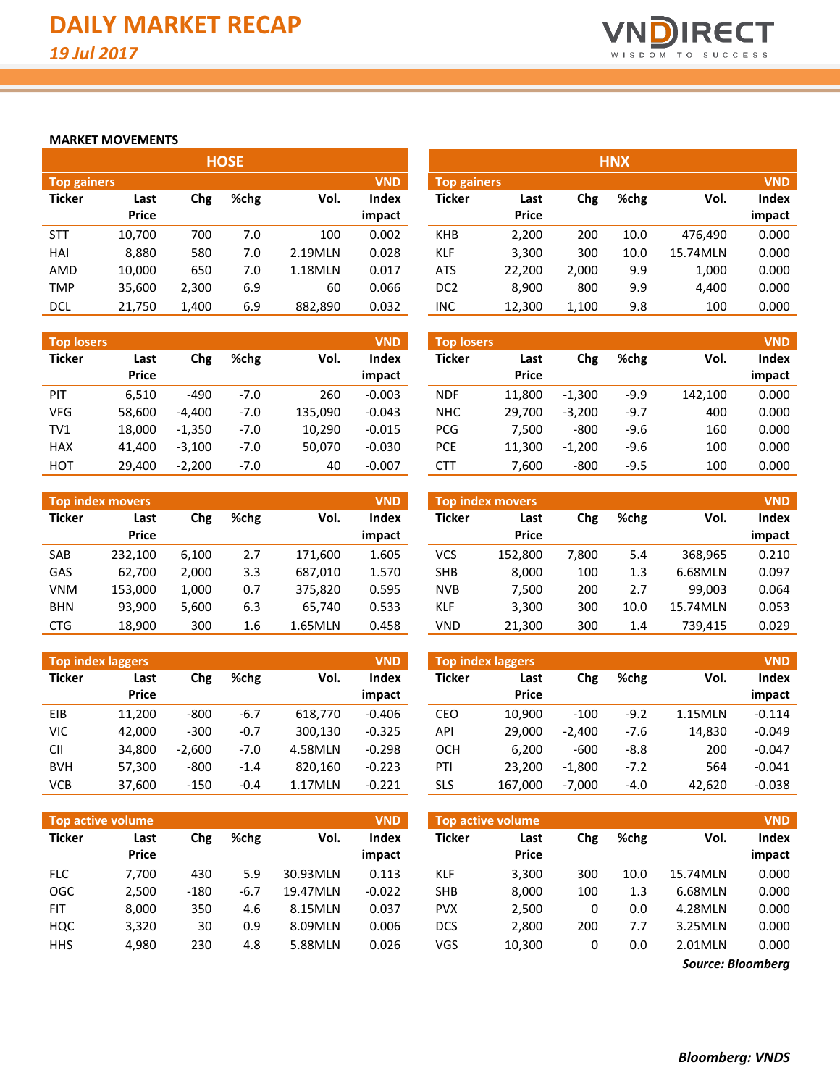

#### **MARKET MOVEMENTS**

| <b>HOSE</b>        |              |       |      |         |              |                    |              |       | <b>HNX</b> |          |            |
|--------------------|--------------|-------|------|---------|--------------|--------------------|--------------|-------|------------|----------|------------|
| <b>Top gainers</b> |              |       |      |         | <b>VND</b>   | <b>Top gainers</b> |              |       |            |          | <b>VND</b> |
| <b>Ticker</b>      | Last         | Chg   | %chg | Vol.    | <b>Index</b> | <b>Ticker</b>      | Last         | Chg   | %chg       | Vol.     | Index      |
|                    | <b>Price</b> |       |      |         | impact       |                    | <b>Price</b> |       |            |          | impact     |
| <b>STT</b>         | 10,700       | 700   | 7.0  | 100     | 0.002        | <b>KHB</b>         | 2,200        | 200   | 10.0       | 476,490  | 0.000      |
| HAI                | 8,880        | 580   | 7.0  | 2.19MLN | 0.028        | <b>KLF</b>         | 3,300        | 300   | 10.0       | 15.74MLN | 0.000      |
| AMD                | 10,000       | 650   | 7.0  | 1.18MLN | 0.017        | <b>ATS</b>         | 22,200       | 2,000 | 9.9        | 1,000    | 0.000      |
| <b>TMP</b>         | 35,600       | 2,300 | 6.9  | 60      | 0.066        | DC <sub>2</sub>    | 8.900        | 800   | 9.9        | 4,400    | 0.000      |
| <b>DCL</b>         | 21.750       | 1,400 | 6.9  | 882.890 | 0.032        | <b>INC</b>         | 12,300       | 1,100 | 9.8        | 100      | 0.000      |

| <b>Top losers</b> |              |          |        |         | <b>VND</b>   |
|-------------------|--------------|----------|--------|---------|--------------|
| <b>Ticker</b>     | Last         | Chg      | %chg   | Vol.    | <b>Index</b> |
|                   | <b>Price</b> |          |        |         | impact       |
| PIT               | 6,510        | -490     | $-7.0$ | 260     | $-0.003$     |
| VFG               | 58,600       | $-4.400$ | $-7.0$ | 135,090 | $-0.043$     |
| TV1               | 18,000       | $-1,350$ | $-7.0$ | 10,290  | $-0.015$     |
| <b>HAX</b>        | 41,400       | $-3,100$ | $-7.0$ | 50,070  | $-0.030$     |
| <b>HOT</b>        | 29,400       | $-2,200$ | $-7.0$ | 40      | $-0.007$     |

| <b>Top index movers</b> |              |       |      |         |        |  |  |  |  |  |  |
|-------------------------|--------------|-------|------|---------|--------|--|--|--|--|--|--|
| <b>Ticker</b>           | Last         | Chg   | %chg | Vol.    | Index  |  |  |  |  |  |  |
|                         | <b>Price</b> |       |      |         | impact |  |  |  |  |  |  |
| <b>SAB</b>              | 232,100      | 6,100 | 2.7  | 171,600 | 1.605  |  |  |  |  |  |  |
| GAS                     | 62,700       | 2,000 | 3.3  | 687,010 | 1.570  |  |  |  |  |  |  |
| <b>VNM</b>              | 153,000      | 1,000 | 0.7  | 375,820 | 0.595  |  |  |  |  |  |  |
| <b>BHN</b>              | 93,900       | 5,600 | 6.3  | 65,740  | 0.533  |  |  |  |  |  |  |
| <b>CTG</b>              | 18,900       | 300   | 1.6  | 1.65MLN | 0.458  |  |  |  |  |  |  |

|               | <b>Top index laggers</b><br><b>VND</b> |          |        |         |              |  |  |  |  |  |  |  |  |
|---------------|----------------------------------------|----------|--------|---------|--------------|--|--|--|--|--|--|--|--|
| <b>Ticker</b> | Last<br><b>Price</b>                   | Chg      | %chg   | Vol.    | <b>Index</b> |  |  |  |  |  |  |  |  |
|               |                                        |          |        |         | impact       |  |  |  |  |  |  |  |  |
| <b>FIB</b>    | 11,200                                 | -800     | $-6.7$ | 618,770 | $-0.406$     |  |  |  |  |  |  |  |  |
| <b>VIC</b>    | 42,000                                 | $-300$   | $-0.7$ | 300,130 | $-0.325$     |  |  |  |  |  |  |  |  |
| CII           | 34.800                                 | $-2,600$ | $-7.0$ | 4.58MLN | $-0.298$     |  |  |  |  |  |  |  |  |
| <b>BVH</b>    | 57,300                                 | $-800$   | $-1.4$ | 820,160 | $-0.223$     |  |  |  |  |  |  |  |  |
| VCB           | 37,600                                 | $-150$   | $-0.4$ | 1.17MLN | $-0.221$     |  |  |  |  |  |  |  |  |

|                    |              |       | поэе |         |            |                    |              |       | пічл |          |            |
|--------------------|--------------|-------|------|---------|------------|--------------------|--------------|-------|------|----------|------------|
| <b>Top gainers</b> |              |       |      |         | <b>VND</b> | <b>Top gainers</b> |              |       |      |          | <b>VND</b> |
| Ticker             | Last         | Chg   | %chg | Vol.    | Index      | Ticker             | Last         | Chg   | %chg | Vol.     | Index      |
|                    | <b>Price</b> |       |      |         | impact     |                    | <b>Price</b> |       |      |          | impact     |
| <b>STT</b>         | 10,700       | 700   | 7.0  | 100     | 0.002      | <b>KHB</b>         | 2,200        | 200   | 10.0 | 476.490  | 0.000      |
| HAI                | 8,880        | 580   | 7.0  | 2.19MLN | 0.028      | <b>KLF</b>         | 3,300        | 300   | 10.0 | 15.74MLN | 0.000      |
| AMD                | 10,000       | 650   | 7.0  | 1.18MLN | 0.017      | <b>ATS</b>         | 22,200       | 2,000 | 9.9  | 1,000    | 0.000      |
| TMP                | 35,600       | 2,300 | 6.9  | 60      | 0.066      | DC <sub>2</sub>    | 8,900        | 800   | 9.9  | 4.400    | 0.000      |
| DCL                | 21.750       | 1.400 | 6.9  | 882.890 | 0.032      | INC                | 12.300       | 1.100 | 9.8  | 100      | 0.000      |

| <b>Top losers</b> |                      |          |        |         | <b>VND</b>      | <b>Top losers</b> |                      |          |        |         | <b>VND</b>      |
|-------------------|----------------------|----------|--------|---------|-----------------|-------------------|----------------------|----------|--------|---------|-----------------|
| Ticker            | Last<br><b>Price</b> | Chg      | %chg   | Vol.    | Index<br>impact | <b>Ticker</b>     | Last<br><b>Price</b> | Chg      | %chg   | Vol.    | Index<br>impact |
| PIT               | 6,510                | $-490$   | $-7.0$ | 260     | $-0.003$        | NDF               | 11.800               | $-1.300$ | $-9.9$ | 142,100 | 0.000           |
| VFG               | 58,600               | $-4.400$ | $-7.0$ | 135,090 | $-0.043$        | <b>NHC</b>        | 29.700               | $-3,200$ | $-9.7$ | 400     | 0.000           |
| TV1               | 18,000               | $-1,350$ | $-7.0$ | 10,290  | $-0.015$        | <b>PCG</b>        | 7.500                | $-800$   | $-9.6$ | 160     | 0.000           |
| <b>HAX</b>        | 41,400               | $-3.100$ | $-7.0$ | 50,070  | $-0.030$        | <b>PCE</b>        | 11,300               | $-1,200$ | $-9.6$ | 100     | 0.000           |
| нот               | 29,400               | $-2.200$ | $-7.0$ | 40      | $-0.007$        | <b>CTT</b>        | 7.600                | $-800$   | $-9.5$ | 100     | 0.000           |

|            | <b>Top index movers</b> |       |      |         | <b>VND</b>   |            | <b>Top index movers</b> |       |      |          | <b>VND</b> |
|------------|-------------------------|-------|------|---------|--------------|------------|-------------------------|-------|------|----------|------------|
| Ticker     | Last                    | Chg   | %chg | Vol.    | <b>Index</b> | Ticker     | Last                    | Chg   | %chg | Vol.     | Index      |
|            | <b>Price</b>            |       |      |         | impact       |            | <b>Price</b>            |       |      |          | impact     |
| SAB        | 232.100                 | 6.100 | 2.7  | 171.600 | 1.605        | <b>VCS</b> | 152.800                 | 7.800 | 5.4  | 368,965  | 0.210      |
| GAS        | 62.700                  | 2.000 | 3.3  | 687.010 | 1.570        | <b>SHB</b> | 8.000                   | 100   | 1.3  | 6.68MLN  | 0.097      |
| VNM        | 153.000                 | 1,000 | 0.7  | 375,820 | 0.595        | <b>NVB</b> | 7,500                   | 200   | 2.7  | 99.003   | 0.064      |
| <b>BHN</b> | 93,900                  | 5,600 | 6.3  | 65.740  | 0.533        | <b>KLF</b> | 3,300                   | 300   | 10.0 | 15.74MLN | 0.053      |
| <b>CTG</b> | 18,900                  | 300   | 1.6  | 1.65MLN | 0.458        | VND        | 21,300                  | 300   | 1.4  | 739,415  | 0.029      |

|            | <b>Top index laggers</b> |          |        |         | <b>VND</b>             |               | Top index laggers    |          |        |         | <b>VND</b>      |
|------------|--------------------------|----------|--------|---------|------------------------|---------------|----------------------|----------|--------|---------|-----------------|
| Ticker     | Last<br><b>Price</b>     | Chg      | %chg   | Vol.    | <b>Index</b><br>impact | <b>Ticker</b> | Last<br><b>Price</b> | Chg      | %chg   | Vol.    | Index<br>impact |
| <b>EIB</b> | 11.200                   | $-800$   | $-6.7$ | 618.770 | $-0.406$               | CEO           | 10.900               | $-100$   | $-9.2$ | 1.15MLN | $-0.114$        |
| VIC        | 42,000                   | $-300$   | $-0.7$ | 300.130 | $-0.325$               | API           | 29.000               | $-2.400$ | -7.6   | 14,830  | $-0.049$        |
| CII        | 34,800                   | $-2.600$ | $-7.0$ | 4.58MLN | $-0.298$               | OCH           | 6.200                | $-600$   | $-8.8$ | 200     | $-0.047$        |
| <b>BVH</b> | 57,300                   | $-800$   | $-1.4$ | 820,160 | $-0.223$               | PTI           | 23.200               | $-1,800$ | $-7.2$ | 564     | $-0.041$        |
| VCB        | 37,600                   | $-150$   | $-0.4$ | 1.17MLN | $-0.221$               | <b>SLS</b>    | 167,000              | $-7,000$ | $-4.0$ | 42,620  | $-0.038$        |

| <b>Top active volume</b> |                      |        |      |          | <b>VND</b>             |               | <b>Top active volume</b> |     |      |          | <b>VND</b>      |
|--------------------------|----------------------|--------|------|----------|------------------------|---------------|--------------------------|-----|------|----------|-----------------|
| <b>Ticker</b>            | Last<br><b>Price</b> | Chg    | %chg | Vol.     | <b>Index</b><br>impact | <b>Ticker</b> | Last<br><b>Price</b>     | Chg | %chg | Vol.     | Index<br>impact |
| <b>FLC</b>               | 7.700                | 430    | 5.9  | 30.93MLN | 0.113                  | <b>KLF</b>    | 3,300                    | 300 | 10.0 | 15.74MLN | 0.000           |
| OGC                      | 2,500                | $-180$ | -6.7 | 19.47MLN | $-0.022$               | <b>SHB</b>    | 8,000                    | 100 | 1.3  | 6.68MLN  | 0.000           |
| <b>FIT</b>               | 8.000                | 350    | 4.6  | 8.15MLN  | 0.037                  | <b>PVX</b>    | 2,500                    | 0   | 0.0  | 4.28MLN  | 0.000           |
| HQC                      | 3,320                | 30     | 0.9  | 8.09MLN  | 0.006                  | <b>DCS</b>    | 2,800                    | 200 | 7.7  | 3.25MLN  | 0.000           |
| <b>HHS</b>               | 4,980                | 230    | 4.8  | 5.88MLN  | 0.026                  | VGS           | 10,300                   | 0   | 0.0  | 2.01MLN  | 0.000           |

*Source: Bloomberg*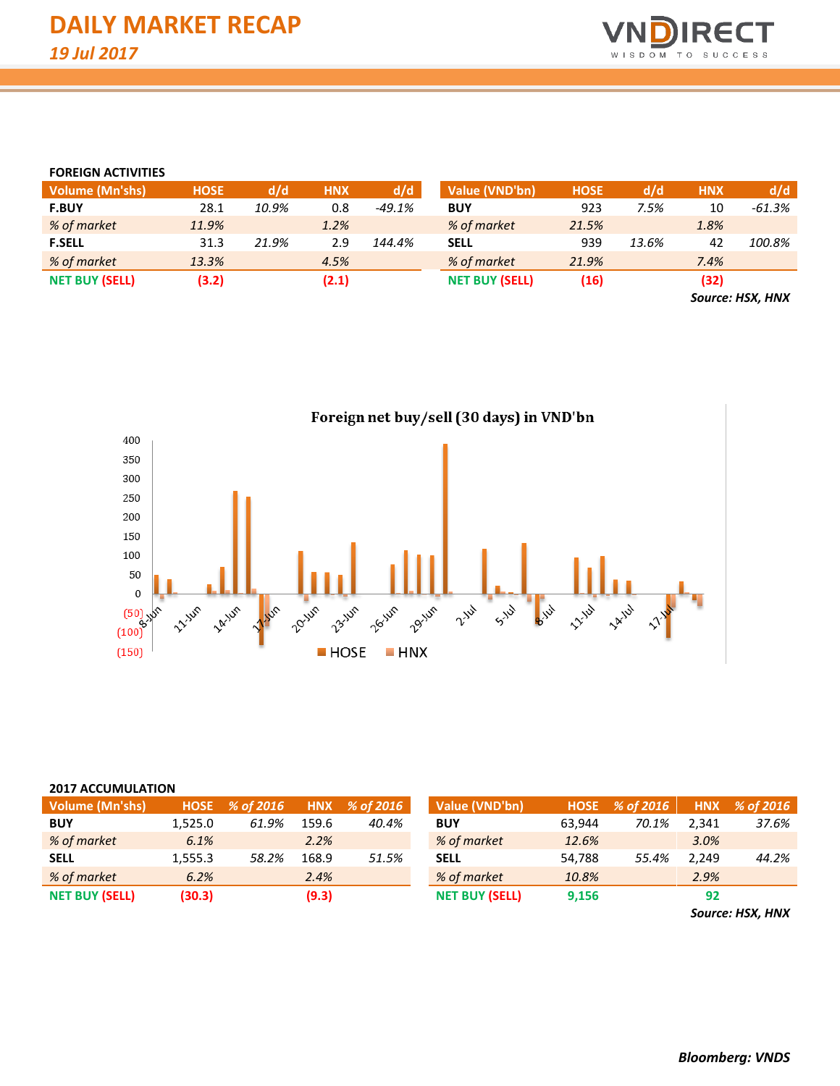

#### **FOREIGN ACTIVITIES**

| <b>Volume (Mn'shs)</b> | <b>HOSE</b> | d/d   | <b>HNX</b> | d/d      | Value (VND'bn)        | <b>HOSE</b> | d/d   | <b>HNX</b> | d/d                                                     |
|------------------------|-------------|-------|------------|----------|-----------------------|-------------|-------|------------|---------------------------------------------------------|
| <b>F.BUY</b>           | 28.1        | 10.9% | 0.8        | $-49.1%$ | <b>BUY</b>            | 923         | 7.5%  | 10         | -61.3%                                                  |
| % of market            | 11.9%       |       | 1.2%       |          | % of market           | 21.5%       |       | 1.8%       |                                                         |
| <b>F.SELL</b>          | 31.3        | 21.9% | 2.9        | 144.4%   | <b>SELL</b>           | 939         | 13.6% | 42         | 100.8%                                                  |
| % of market            | 13.3%       |       | 4.5%       |          | % of market           | 21.9%       |       | 7.4%       |                                                         |
| <b>NET BUY (SELL)</b>  | (3.2)       |       | (2.1)      |          | <b>NET BUY (SELL)</b> | (16)        |       | (32)       |                                                         |
|                        |             |       |            |          |                       |             |       |            | $\sim$ $\sim$ $\sim$ $\sim$ $\sim$ $\sim$ $\sim$ $\sim$ |

*Source: HSX, HNX*



#### **2017 ACCUMULATION**

| <b>Volume (Mn'shs)</b> |         | $HOSE \quad % of 2016$ |       | HNX % of 2016 | Value (VND'bn)        | <b>HOSE</b> | % of 2016 | <b>HNX</b> | % of 2016 |
|------------------------|---------|------------------------|-------|---------------|-----------------------|-------------|-----------|------------|-----------|
| <b>BUY</b>             | 1.525.0 | 61.9%                  | 159.6 | 40.4%         | <b>BUY</b>            | 63.944      | 70.1%     | 2.341      | 37.6%     |
| % of market            | 6.1%    |                        | 2.2%  |               | % of market           | 12.6%       |           | 3.0%       |           |
| <b>SELL</b>            | 1.555.3 | 58.2%                  | 168.9 | 51.5%         | <b>SELL</b>           | 54.788      | 55.4%     | 2.249      | 44.2%     |
| % of market            | 6.2%    |                        | 2.4%  |               | % of market           | 10.8%       |           | 2.9%       |           |
| <b>NET BUY (SELL)</b>  | (30.3)  |                        | (9.3) |               | <b>NET BUY (SELL)</b> | 9,156       |           | 92         |           |

*Source: HSX, HNX*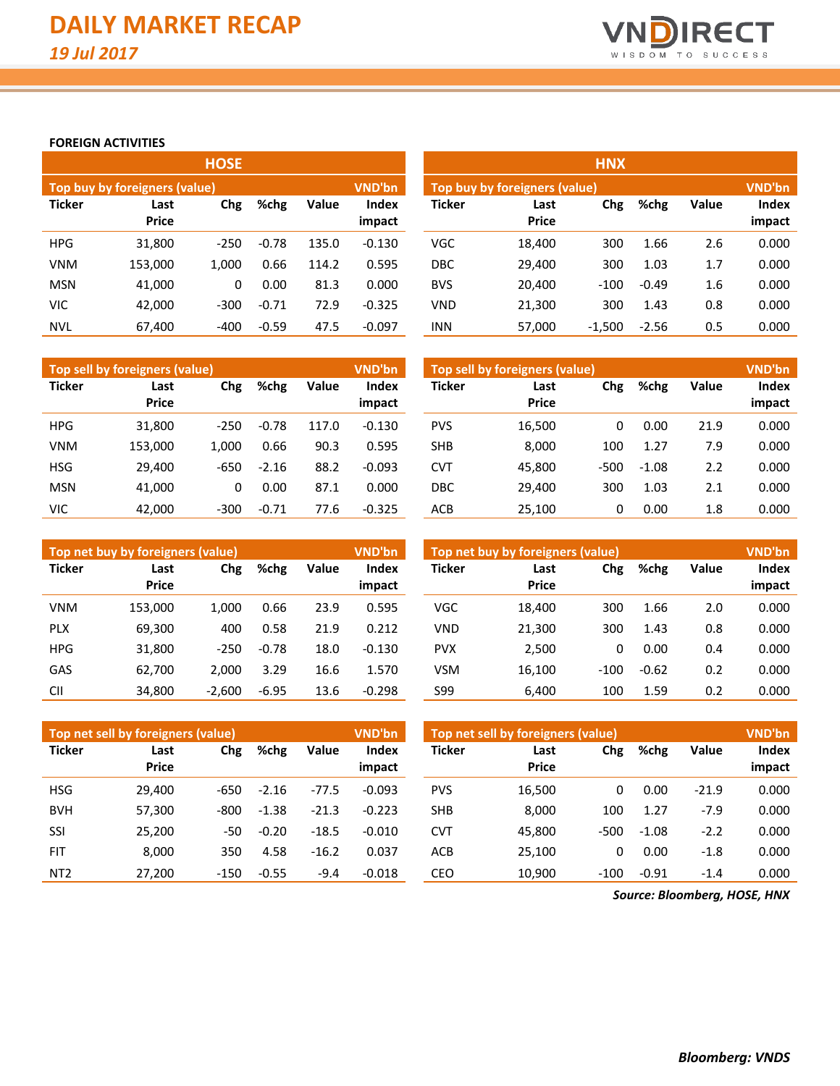

**impact**

#### **FOREIGN ACTIVITIES**

|               |                               | <b>HOSE</b> |         |       |                 | <b>HNX</b>    |                      |          |         |       |                 |  |  |
|---------------|-------------------------------|-------------|---------|-------|-----------------|---------------|----------------------|----------|---------|-------|-----------------|--|--|
|               | Top buy by foreigners (value) |             |         |       | <b>VND'bn</b>   |               | <b>VND'bn</b>        |          |         |       |                 |  |  |
| <b>Ticker</b> | Last<br><b>Price</b>          | Chg         | %chg    | Value | Index<br>impact | <b>Ticker</b> | Last<br><b>Price</b> | Chg      | %chg    | Value | Index<br>impact |  |  |
| <b>HPG</b>    | 31,800                        | $-250$      | $-0.78$ | 135.0 | $-0.130$        | <b>VGC</b>    | 18,400               | 300      | 1.66    | 2.6   | 0.000           |  |  |
| <b>VNM</b>    | 153,000                       | 1.000       | 0.66    | 114.2 | 0.595           | <b>DBC</b>    | 29,400               | 300      | 1.03    | 1.7   | 0.000           |  |  |
| <b>MSN</b>    | 41,000                        | 0           | 0.00    | 81.3  | 0.000           | <b>BVS</b>    | 20,400               | $-100$   | $-0.49$ | 1.6   | 0.000           |  |  |
| VIC           | 42,000                        | $-300$      | $-0.71$ | 72.9  | $-0.325$        | <b>VND</b>    | 21,300               | 300      | 1.43    | 0.8   | 0.000           |  |  |
| <b>NVL</b>    | 67.400                        | $-400$      | $-0.59$ | 47.5  | $-0.097$        | <b>INN</b>    | 57.000               | $-1.500$ | $-2.56$ | 0.5   | 0.000           |  |  |

|               | Top sell by foreigners (value) |        |         |              | VND'bn                 | Top sell by foreigners (value) |                      |      |         |              |                 |  |
|---------------|--------------------------------|--------|---------|--------------|------------------------|--------------------------------|----------------------|------|---------|--------------|-----------------|--|
| <b>Ticker</b> | Last<br><b>Price</b>           | Chg    | %chg    | <b>Value</b> | <b>Index</b><br>impact | <b>Ticker</b>                  | Last<br><b>Price</b> | Chg  | %chg    | <b>Value</b> | Index<br>impact |  |
| <b>HPG</b>    | 31.800                         | $-250$ | $-0.78$ | 117.0        | $-0.130$               | <b>PVS</b>                     | 16,500               |      | 0.00    | 21.9         | 0.000           |  |
| <b>VNM</b>    | 153.000                        | 1.000  | 0.66    | 90.3         | 0.595                  | <b>SHB</b>                     | 8,000                | 100  | 1.27    | 7.9          | 0.000           |  |
| <b>HSG</b>    | 29.400                         | $-650$ | $-2.16$ | 88.2         | $-0.093$               | <b>CVT</b>                     | 45,800               | -500 | $-1.08$ | 2.2          | 0.000           |  |
| <b>MSN</b>    | 41.000                         | 0      | 0.00    | 87.1         | 0.000                  | <b>DBC</b>                     | 29.400               | 300  | 1.03    | 2.1          | 0.000           |  |
| VIC           | 42.000                         | $-300$ | $-0.71$ | 77.6         | $-0.325$               | <b>ACB</b>                     | 25,100               |      | 0.00    | 1.8          | 0.000           |  |

| <b>INN</b>    | 57,000                         | $-1,500$ | $-2.56$ | 0.5   | 0.000         |
|---------------|--------------------------------|----------|---------|-------|---------------|
|               |                                |          |         |       |               |
|               | Top sell by foreigners (value) |          |         |       | <b>VND'bn</b> |
| <b>Ticker</b> | Last                           | Chg      | %chg    | Value | Index         |
|               | <b>Price</b>                   |          |         |       | impact        |
| <b>PVS</b>    | 16,500                         | 0        | 0.00    | 21.9  | 0.000         |
| <b>SHB</b>    | 8,000                          | 100      | 1.27    | 7.9   | 0.000         |
| <b>CVT</b>    | 45,800                         | $-500$   | $-1.08$ | 2.2   | 0.000         |
| <b>DBC</b>    | 29,400                         | 300      | 1.03    | 2.1   | 0.000         |
| ACR           | 25 100                         | O        | 0 OO    | 18    | n nnn         |

|               | Top net buy by foreigners (value) |          |         |       | <b>VND'bn</b>   | Top net buy by foreigners (value) |                      |        |         |       |                 |
|---------------|-----------------------------------|----------|---------|-------|-----------------|-----------------------------------|----------------------|--------|---------|-------|-----------------|
| <b>Ticker</b> | Last<br><b>Price</b>              | Chg      | %chg    | Value | Index<br>impact | <b>Ticker</b>                     | Last<br><b>Price</b> | Chg    | %chg    | Value | Index<br>impact |
| <b>VNM</b>    | 153.000                           | 1.000    | 0.66    | 23.9  | 0.595           | <b>VGC</b>                        | 18.400               | 300    | 1.66    | 2.0   | 0.000           |
| <b>PLX</b>    | 69.300                            | 400      | 0.58    | 21.9  | 0.212           | <b>VND</b>                        | 21,300               | 300    | 1.43    | 0.8   | 0.000           |
| <b>HPG</b>    | 31,800                            | $-250$   | $-0.78$ | 18.0  | $-0.130$        | <b>PVX</b>                        | 2,500                | 0      | 0.00    | 0.4   | 0.000           |
| GAS           | 62,700                            | 2.000    | 3.29    | 16.6  | 1.570           | <b>VSM</b>                        | 16,100               | $-100$ | $-0.62$ | 0.2   | 0.000           |
| <b>CII</b>    | 34,800                            | $-2,600$ | $-6.95$ | 13.6  | $-0.298$        | S99                               | 6,400                | 100    | 1.59    | 0.2   | 0.000           |

|                 | Top net sell by foreigners (value) |        |         |         | <b>VND'bn</b> | Top net sell by foreigners (value) | <b>VND'bn</b> |        |         |         |        |
|-----------------|------------------------------------|--------|---------|---------|---------------|------------------------------------|---------------|--------|---------|---------|--------|
| <b>Ticker</b>   | Last                               | Chg    | %chg    | Value   | <b>Index</b>  | <b>Ticker</b>                      | Last          | Chg    | %chg    | Value   | Index  |
|                 | <b>Price</b>                       |        |         |         | impact        |                                    | <b>Price</b>  |        |         |         | impact |
| <b>HSG</b>      | 29.400                             | -650   | $-2.16$ | $-77.5$ | $-0.093$      | <b>PVS</b>                         | 16,500        | 0      | 0.00    | $-21.9$ | 0.000  |
| <b>BVH</b>      | 57,300                             | -800   | $-1.38$ | $-21.3$ | $-0.223$      | <b>SHB</b>                         | 8,000         | 100    | 1.27    | $-7.9$  | 0.000  |
| SSI             | 25.200                             | -50    | $-0.20$ | $-18.5$ | $-0.010$      | <b>CVT</b>                         | 45.800        | $-500$ | $-1.08$ | $-2.2$  | 0.000  |
| <b>FIT</b>      | 8.000                              | 350    | 4.58    | $-16.2$ | 0.037         | ACB                                | 25.100        | 0      | 0.00    | $-1.8$  | 0.000  |
| NT <sub>2</sub> | 27,200                             | $-150$ | $-0.55$ | $-9.4$  | $-0.018$      | CEO                                | 10,900        | $-100$ | $-0.91$ | $-1.4$  | 0.000  |

*Source: Bloomberg, HOSE, HNX*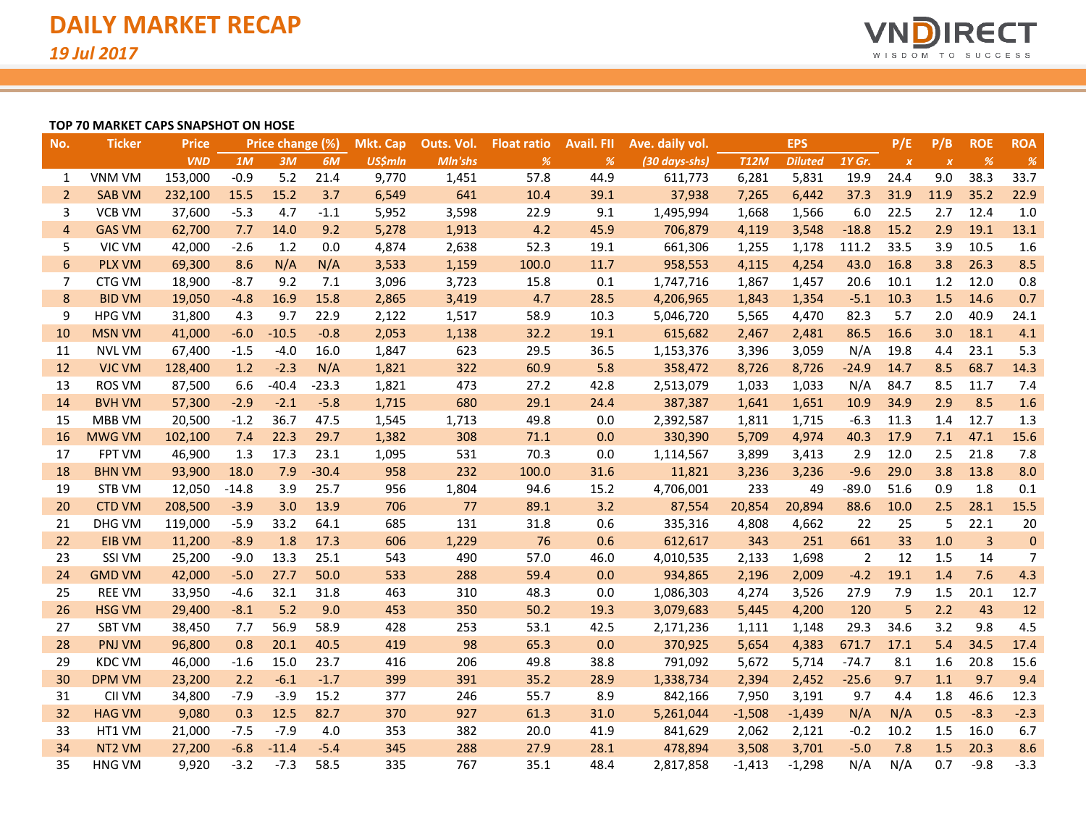

#### **TOP 70 MARKET CAPS SNAPSHOT ON HOSE**

| No.            | <b>Ticker</b>      | <b>Price</b> |         | Price change (%) |         | <b>Mkt. Cap</b> | Outs. Vol. | <b>Float ratio</b> | <b>Avail, FII</b> | Ave. daily vol. |             | <b>EPS</b>     |         | P/E              | P/B              | <b>ROE</b>     | <b>ROA</b>     |
|----------------|--------------------|--------------|---------|------------------|---------|-----------------|------------|--------------------|-------------------|-----------------|-------------|----------------|---------|------------------|------------------|----------------|----------------|
|                |                    | <b>VND</b>   | 1M      | 3M               | 6M      | <b>US\$mln</b>  | Mln'shs    | %                  | %                 | (30 days-shs)   | <b>T12M</b> | <b>Diluted</b> | 1Y Gr.  | $\boldsymbol{x}$ | $\boldsymbol{X}$ | %              | $\%$           |
| 1              | VNM VM             | 153,000      | $-0.9$  | 5.2              | 21.4    | 9,770           | 1,451      | 57.8               | 44.9              | 611,773         | 6,281       | 5,831          | 19.9    | 24.4             | 9.0              | 38.3           | 33.7           |
| $\overline{2}$ | <b>SAB VM</b>      | 232,100      | 15.5    | 15.2             | 3.7     | 6,549           | 641        | 10.4               | 39.1              | 37,938          | 7,265       | 6,442          | 37.3    | 31.9             | 11.9             | 35.2           | 22.9           |
| 3              | <b>VCB VM</b>      | 37,600       | $-5.3$  | 4.7              | $-1.1$  | 5,952           | 3,598      | 22.9               | 9.1               | 1,495,994       | 1,668       | 1,566          | 6.0     | 22.5             | 2.7              | 12.4           | 1.0            |
| $\overline{4}$ | <b>GAS VM</b>      | 62,700       | 7.7     | 14.0             | 9.2     | 5,278           | 1,913      | 4.2                | 45.9              | 706,879         | 4,119       | 3,548          | $-18.8$ | 15.2             | 2.9              | 19.1           | 13.1           |
| 5              | VIC VM             | 42,000       | $-2.6$  | 1.2              | 0.0     | 4,874           | 2,638      | 52.3               | 19.1              | 661,306         | 1,255       | 1,178          | 111.2   | 33.5             | 3.9              | 10.5           | 1.6            |
| 6              | <b>PLX VM</b>      | 69,300       | 8.6     | N/A              | N/A     | 3,533           | 1,159      | 100.0              | 11.7              | 958,553         | 4,115       | 4,254          | 43.0    | 16.8             | 3.8              | 26.3           | 8.5            |
| 7              | CTG VM             | 18,900       | $-8.7$  | 9.2              | 7.1     | 3,096           | 3,723      | 15.8               | 0.1               | 1,747,716       | 1,867       | 1,457          | 20.6    | 10.1             | 1.2              | 12.0           | 0.8            |
| 8              | <b>BID VM</b>      | 19,050       | $-4.8$  | 16.9             | 15.8    | 2,865           | 3,419      | 4.7                | 28.5              | 4,206,965       | 1,843       | 1,354          | $-5.1$  | 10.3             | 1.5              | 14.6           | 0.7            |
| 9              | <b>HPG VM</b>      | 31,800       | 4.3     | 9.7              | 22.9    | 2,122           | 1,517      | 58.9               | 10.3              | 5,046,720       | 5,565       | 4,470          | 82.3    | 5.7              | 2.0              | 40.9           | 24.1           |
| 10             | <b>MSN VM</b>      | 41,000       | $-6.0$  | $-10.5$          | $-0.8$  | 2,053           | 1,138      | 32.2               | 19.1              | 615,682         | 2,467       | 2,481          | 86.5    | 16.6             | 3.0              | 18.1           | 4.1            |
| 11             | <b>NVL VM</b>      | 67,400       | $-1.5$  | $-4.0$           | 16.0    | 1,847           | 623        | 29.5               | 36.5              | 1,153,376       | 3,396       | 3,059          | N/A     | 19.8             | 4.4              | 23.1           | 5.3            |
| 12             | <b>VJC VM</b>      | 128,400      | 1.2     | $-2.3$           | N/A     | 1,821           | 322        | 60.9               | 5.8               | 358,472         | 8,726       | 8,726          | $-24.9$ | 14.7             | 8.5              | 68.7           | 14.3           |
| 13             | <b>ROS VM</b>      | 87,500       | 6.6     | $-40.4$          | $-23.3$ | 1,821           | 473        | 27.2               | 42.8              | 2,513,079       | 1,033       | 1,033          | N/A     | 84.7             | 8.5              | 11.7           | 7.4            |
| 14             | <b>BVH VM</b>      | 57,300       | $-2.9$  | $-2.1$           | $-5.8$  | 1,715           | 680        | 29.1               | 24.4              | 387,387         | 1,641       | 1,651          | 10.9    | 34.9             | 2.9              | 8.5            | 1.6            |
| 15             | MBB VM             | 20,500       | $-1.2$  | 36.7             | 47.5    | 1,545           | 1,713      | 49.8               | 0.0               | 2,392,587       | 1,811       | 1,715          | $-6.3$  | 11.3             | 1.4              | 12.7           | 1.3            |
| 16             | <b>MWG VM</b>      | 102,100      | 7.4     | 22.3             | 29.7    | 1,382           | 308        | 71.1               | 0.0               | 330,390         | 5,709       | 4,974          | 40.3    | 17.9             | 7.1              | 47.1           | 15.6           |
| 17             | FPT VM             | 46,900       | 1.3     | 17.3             | 23.1    | 1,095           | 531        | 70.3               | 0.0               | 1,114,567       | 3,899       | 3,413          | 2.9     | 12.0             | 2.5              | 21.8           | 7.8            |
| 18             | <b>BHN VM</b>      | 93,900       | 18.0    | 7.9              | $-30.4$ | 958             | 232        | 100.0              | 31.6              | 11,821          | 3,236       | 3,236          | $-9.6$  | 29.0             | 3.8              | 13.8           | 8.0            |
| 19             | STB VM             | 12,050       | $-14.8$ | 3.9              | 25.7    | 956             | 1,804      | 94.6               | 15.2              | 4,706,001       | 233         | 49             | $-89.0$ | 51.6             | 0.9              | 1.8            | 0.1            |
| 20             | <b>CTD VM</b>      | 208,500      | $-3.9$  | 3.0              | 13.9    | 706             | 77         | 89.1               | 3.2               | 87,554          | 20,854      | 20,894         | 88.6    | 10.0             | 2.5              | 28.1           | 15.5           |
| 21             | DHG VM             | 119,000      | $-5.9$  | 33.2             | 64.1    | 685             | 131        | 31.8               | 0.6               | 335,316         | 4,808       | 4,662          | 22      | 25               | 5                | 22.1           | 20             |
| 22             | <b>EIB VM</b>      | 11,200       | $-8.9$  | 1.8              | 17.3    | 606             | 1,229      | 76                 | 0.6               | 612,617         | 343         | 251            | 661     | 33               | 1.0              | $\overline{3}$ | $\pmb{0}$      |
| 23             | SSI VM             | 25,200       | $-9.0$  | 13.3             | 25.1    | 543             | 490        | 57.0               | 46.0              | 4,010,535       | 2,133       | 1,698          | 2       | 12               | 1.5              | 14             | $\overline{7}$ |
| 24             | <b>GMD VM</b>      | 42,000       | $-5.0$  | 27.7             | 50.0    | 533             | 288        | 59.4               | 0.0               | 934,865         | 2,196       | 2,009          | $-4.2$  | 19.1             | 1.4              | 7.6            | 4.3            |
| 25             | <b>REE VM</b>      | 33,950       | $-4.6$  | 32.1             | 31.8    | 463             | 310        | 48.3               | 0.0               | 1,086,303       | 4,274       | 3,526          | 27.9    | 7.9              | 1.5              | 20.1           | 12.7           |
| 26             | <b>HSG VM</b>      | 29,400       | $-8.1$  | 5.2              | 9.0     | 453             | 350        | 50.2               | 19.3              | 3,079,683       | 5,445       | 4,200          | 120     | 5                | 2.2              | 43             | 12             |
| 27             | <b>SBT VM</b>      | 38,450       | 7.7     | 56.9             | 58.9    | 428             | 253        | 53.1               | 42.5              | 2,171,236       | 1,111       | 1,148          | 29.3    | 34.6             | 3.2              | 9.8            | 4.5            |
| 28             | <b>PNJ VM</b>      | 96,800       | 0.8     | 20.1             | 40.5    | 419             | 98         | 65.3               | 0.0               | 370,925         | 5,654       | 4,383          | 671.7   | 17.1             | 5.4              | 34.5           | 17.4           |
| 29             | <b>KDC VM</b>      | 46,000       | $-1.6$  | 15.0             | 23.7    | 416             | 206        | 49.8               | 38.8              | 791,092         | 5,672       | 5,714          | $-74.7$ | 8.1              | 1.6              | 20.8           | 15.6           |
| 30             | <b>DPM VM</b>      | 23,200       | 2.2     | $-6.1$           | $-1.7$  | 399             | 391        | 35.2               | 28.9              | 1,338,734       | 2,394       | 2,452          | $-25.6$ | 9.7              | 1.1              | 9.7            | 9.4            |
| 31             | CII VM             | 34,800       | $-7.9$  | $-3.9$           | 15.2    | 377             | 246        | 55.7               | 8.9               | 842,166         | 7,950       | 3,191          | 9.7     | 4.4              | 1.8              | 46.6           | 12.3           |
| 32             | <b>HAG VM</b>      | 9,080        | 0.3     | 12.5             | 82.7    | 370             | 927        | 61.3               | 31.0              | 5,261,044       | $-1,508$    | $-1,439$       | N/A     | N/A              | 0.5              | $-8.3$         | $-2.3$         |
| 33             | HT1 VM             | 21,000       | $-7.5$  | $-7.9$           | 4.0     | 353             | 382        | 20.0               | 41.9              | 841,629         | 2,062       | 2,121          | $-0.2$  | 10.2             | 1.5              | 16.0           | 6.7            |
| 34             | NT <sub>2</sub> VM | 27,200       | $-6.8$  | $-11.4$          | $-5.4$  | 345             | 288        | 27.9               | 28.1              | 478,894         | 3,508       | 3,701          | $-5.0$  | 7.8              | 1.5              | 20.3           | 8.6            |
| 35             | <b>HNG VM</b>      | 9,920        | $-3.2$  | $-7.3$           | 58.5    | 335             | 767        | 35.1               | 48.4              | 2,817,858       | $-1,413$    | $-1,298$       | N/A     | N/A              | 0.7              | $-9.8$         | $-3.3$         |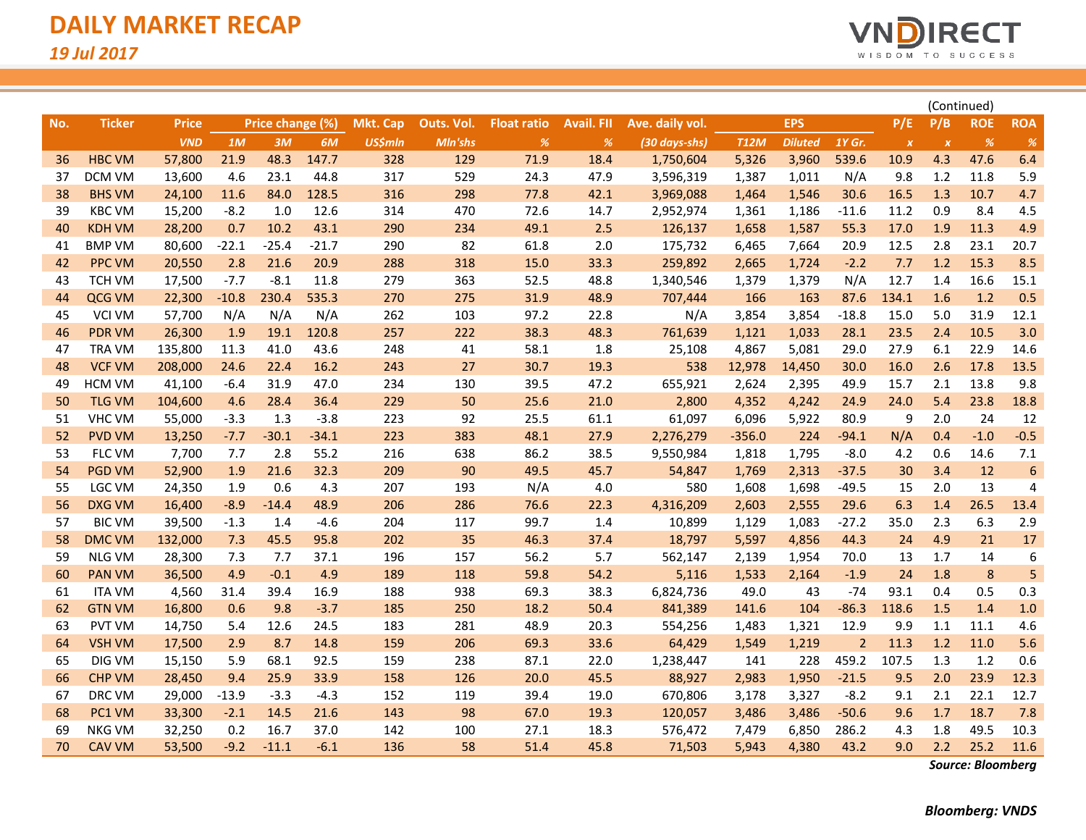

|     |               |              |         |                  |         |                 |            |                    |                   |                 |             |                |                |                  | (Continued)      |            |            |
|-----|---------------|--------------|---------|------------------|---------|-----------------|------------|--------------------|-------------------|-----------------|-------------|----------------|----------------|------------------|------------------|------------|------------|
| No. | <b>Ticker</b> | <b>Price</b> |         | Price change (%) |         | <b>Mkt. Cap</b> | Outs. Vol. | <b>Float ratio</b> | <b>Avail. FII</b> | Ave. daily vol. |             | <b>EPS</b>     |                | P/E              | P/B              | <b>ROE</b> | <b>ROA</b> |
|     |               | <b>VND</b>   | 1M      | 3M               | 6M      | <b>US\$mln</b>  | Mln'shs    | $\%$               | %                 | (30 days-shs)   | <b>T12M</b> | <b>Diluted</b> | 1Y Gr.         | $\boldsymbol{X}$ | $\boldsymbol{X}$ | %          | %          |
| 36  | <b>HBC VM</b> | 57,800       | 21.9    | 48.3             | 147.7   | 328             | 129        | 71.9               | 18.4              | 1,750,604       | 5,326       | 3,960          | 539.6          | 10.9             | 4.3              | 47.6       | 6.4        |
| 37  | DCM VM        | 13,600       | 4.6     | 23.1             | 44.8    | 317             | 529        | 24.3               | 47.9              | 3,596,319       | 1,387       | 1,011          | N/A            | 9.8              | 1.2              | 11.8       | 5.9        |
| 38  | <b>BHS VM</b> | 24,100       | 11.6    | 84.0             | 128.5   | 316             | 298        | 77.8               | 42.1              | 3,969,088       | 1,464       | 1,546          | 30.6           | 16.5             | 1.3              | 10.7       | 4.7        |
| 39  | <b>KBC VM</b> | 15,200       | $-8.2$  | 1.0              | 12.6    | 314             | 470        | 72.6               | 14.7              | 2,952,974       | 1,361       | 1,186          | $-11.6$        | 11.2             | 0.9              | 8.4        | 4.5        |
| 40  | <b>KDH VM</b> | 28,200       | 0.7     | 10.2             | 43.1    | 290             | 234        | 49.1               | 2.5               | 126,137         | 1,658       | 1,587          | 55.3           | 17.0             | 1.9              | 11.3       | 4.9        |
| 41  | <b>BMP VM</b> | 80,600       | $-22.1$ | $-25.4$          | $-21.7$ | 290             | 82         | 61.8               | 2.0               | 175,732         | 6,465       | 7,664          | 20.9           | 12.5             | 2.8              | 23.1       | 20.7       |
| 42  | <b>PPC VM</b> | 20,550       | 2.8     | 21.6             | 20.9    | 288             | 318        | 15.0               | 33.3              | 259,892         | 2,665       | 1,724          | $-2.2$         | 7.7              | 1.2              | 15.3       | 8.5        |
| 43  | TCH VM        | 17,500       | $-7.7$  | $-8.1$           | 11.8    | 279             | 363        | 52.5               | 48.8              | 1,340,546       | 1,379       | 1,379          | N/A            | 12.7             | 1.4              | 16.6       | 15.1       |
| 44  | QCG VM        | 22,300       | $-10.8$ | 230.4            | 535.3   | 270             | 275        | 31.9               | 48.9              | 707,444         | 166         | 163            | 87.6           | 134.1            | 1.6              | 1.2        | 0.5        |
| 45  | <b>VCI VM</b> | 57,700       | N/A     | N/A              | N/A     | 262             | 103        | 97.2               | 22.8              | N/A             | 3,854       | 3,854          | $-18.8$        | 15.0             | 5.0              | 31.9       | 12.1       |
| 46  | <b>PDR VM</b> | 26,300       | 1.9     | 19.1             | 120.8   | 257             | 222        | 38.3               | 48.3              | 761,639         | 1,121       | 1,033          | 28.1           | 23.5             | 2.4              | 10.5       | 3.0        |
| 47  | TRA VM        | 135,800      | 11.3    | 41.0             | 43.6    | 248             | 41         | 58.1               | 1.8               | 25,108          | 4,867       | 5,081          | 29.0           | 27.9             | 6.1              | 22.9       | 14.6       |
| 48  | <b>VCF VM</b> | 208,000      | 24.6    | 22.4             | 16.2    | 243             | 27         | 30.7               | 19.3              | 538             | 12,978      | 14,450         | 30.0           | 16.0             | 2.6              | 17.8       | 13.5       |
| 49  | <b>HCM VM</b> | 41,100       | $-6.4$  | 31.9             | 47.0    | 234             | 130        | 39.5               | 47.2              | 655,921         | 2,624       | 2,395          | 49.9           | 15.7             | 2.1              | 13.8       | 9.8        |
| 50  | <b>TLG VM</b> | 104,600      | 4.6     | 28.4             | 36.4    | 229             | 50         | 25.6               | 21.0              | 2,800           | 4,352       | 4,242          | 24.9           | 24.0             | 5.4              | 23.8       | 18.8       |
| 51  | <b>VHC VM</b> | 55,000       | $-3.3$  | 1.3              | $-3.8$  | 223             | 92         | 25.5               | 61.1              | 61,097          | 6,096       | 5,922          | 80.9           | 9                | 2.0              | 24         | 12         |
| 52  | <b>PVD VM</b> | 13,250       | $-7.7$  | $-30.1$          | $-34.1$ | 223             | 383        | 48.1               | 27.9              | 2,276,279       | $-356.0$    | 224            | $-94.1$        | N/A              | 0.4              | $-1.0$     | $-0.5$     |
| 53  | FLC VM        | 7,700        | 7.7     | 2.8              | 55.2    | 216             | 638        | 86.2               | 38.5              | 9,550,984       | 1,818       | 1,795          | $-8.0$         | 4.2              | 0.6              | 14.6       | 7.1        |
| 54  | <b>PGD VM</b> | 52,900       | 1.9     | 21.6             | 32.3    | 209             | 90         | 49.5               | 45.7              | 54,847          | 1,769       | 2,313          | $-37.5$        | 30               | 3.4              | 12         | 6          |
| 55  | LGC VM        | 24,350       | 1.9     | 0.6              | 4.3     | 207             | 193        | N/A                | 4.0               | 580             | 1,608       | 1,698          | $-49.5$        | 15               | 2.0              | 13         | 4          |
| 56  | <b>DXG VM</b> | 16,400       | $-8.9$  | $-14.4$          | 48.9    | 206             | 286        | 76.6               | 22.3              | 4,316,209       | 2,603       | 2,555          | 29.6           | 6.3              | 1.4              | 26.5       | 13.4       |
| 57  | <b>BIC VM</b> | 39,500       | $-1.3$  | 1.4              | $-4.6$  | 204             | 117        | 99.7               | 1.4               | 10,899          | 1,129       | 1,083          | $-27.2$        | 35.0             | 2.3              | 6.3        | 2.9        |
| 58  | <b>DMC VM</b> | 132,000      | 7.3     | 45.5             | 95.8    | 202             | 35         | 46.3               | 37.4              | 18,797          | 5,597       | 4,856          | 44.3           | 24               | 4.9              | 21         | 17         |
| 59  | <b>NLG VM</b> | 28,300       | 7.3     | 7.7              | 37.1    | 196             | 157        | 56.2               | 5.7               | 562,147         | 2,139       | 1,954          | 70.0           | 13               | 1.7              | 14         | 6          |
| 60  | <b>PAN VM</b> | 36,500       | 4.9     | $-0.1$           | 4.9     | 189             | 118        | 59.8               | 54.2              | 5,116           | 1,533       | 2,164          | $-1.9$         | 24               | 1.8              | 8          | 5          |
| 61  | <b>ITA VM</b> | 4,560        | 31.4    | 39.4             | 16.9    | 188             | 938        | 69.3               | 38.3              | 6,824,736       | 49.0        | 43             | $-74$          | 93.1             | 0.4              | 0.5        | 0.3        |
| 62  | <b>GTN VM</b> | 16,800       | 0.6     | 9.8              | $-3.7$  | 185             | 250        | 18.2               | 50.4              | 841,389         | 141.6       | 104            | $-86.3$        | 118.6            | 1.5              | 1.4        | 1.0        |
| 63  | PVT VM        | 14,750       | 5.4     | 12.6             | 24.5    | 183             | 281        | 48.9               | 20.3              | 554,256         | 1,483       | 1,321          | 12.9           | 9.9              | 1.1              | 11.1       | 4.6        |
| 64  | <b>VSH VM</b> | 17,500       | 2.9     | 8.7              | 14.8    | 159             | 206        | 69.3               | 33.6              | 64,429          | 1,549       | 1,219          | $\overline{2}$ | 11.3             | 1.2              | 11.0       | 5.6        |
| 65  | DIG VM        | 15,150       | 5.9     | 68.1             | 92.5    | 159             | 238        | 87.1               | 22.0              | 1,238,447       | 141         | 228            | 459.2          | 107.5            | 1.3              | 1.2        | 0.6        |
| 66  | <b>CHP VM</b> | 28,450       | 9.4     | 25.9             | 33.9    | 158             | 126        | 20.0               | 45.5              | 88,927          | 2,983       | 1,950          | $-21.5$        | 9.5              | 2.0              | 23.9       | 12.3       |
| 67  | DRC VM        | 29,000       | $-13.9$ | $-3.3$           | $-4.3$  | 152             | 119        | 39.4               | 19.0              | 670,806         | 3,178       | 3,327          | $-8.2$         | 9.1              | 2.1              | 22.1       | 12.7       |
| 68  | PC1 VM        | 33,300       | $-2.1$  | 14.5             | 21.6    | 143             | 98         | 67.0               | 19.3              | 120,057         | 3,486       | 3,486          | $-50.6$        | 9.6              | 1.7              | 18.7       | 7.8        |
| 69  | <b>NKG VM</b> | 32,250       | 0.2     | 16.7             | 37.0    | 142             | 100        | 27.1               | 18.3              | 576,472         | 7,479       | 6,850          | 286.2          | 4.3              | 1.8              | 49.5       | 10.3       |
| 70  | <b>CAV VM</b> | 53,500       | $-9.2$  | $-11.1$          | $-6.1$  | 136             | 58         | 51.4               | 45.8              | 71,503          | 5,943       | 4,380          | 43.2           | 9.0              | 2.2              | 25.2       | 11.6       |

*Source: Bloomberg*